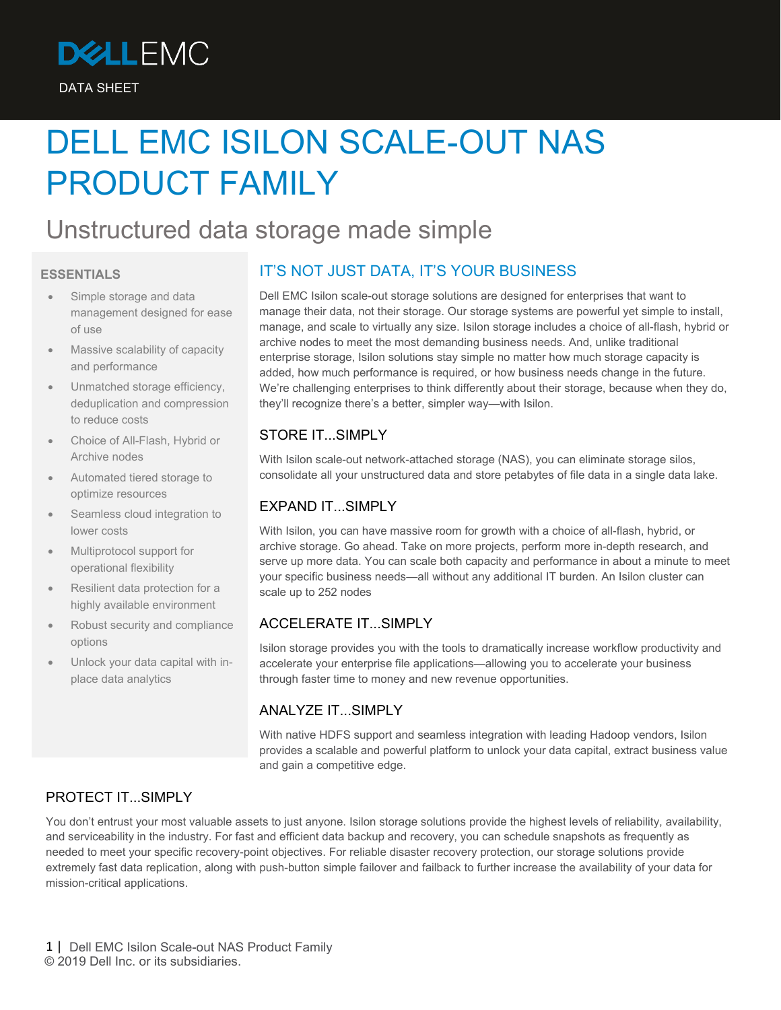

# DELL EMC ISILON SCALE-OUT NAS PRODUCT FAMILY

## Unstructured data storage made simple

#### **ESSENTIALS**

- Simple storage and data management designed for ease of use
- Massive scalability of capacity and performance
- Unmatched storage efficiency, deduplication and compression to reduce costs
- Choice of All-Flash, Hybrid or Archive nodes
- Automated tiered storage to optimize resources
- Seamless cloud integration to lower costs
- Multiprotocol support for operational flexibility
- Resilient data protection for a highly available environment
- Robust security and compliance options
- Unlock your data capital with inplace data analytics

### IT'S NOT JUST DATA, IT'S YOUR BUSINESS

Dell EMC Isilon scale-out storage solutions are designed for enterprises that want to manage their data, not their storage. Our storage systems are powerful yet simple to install, manage, and scale to virtually any size. Isilon storage includes a choice of all-flash, hybrid or archive nodes to meet the most demanding business needs. And, unlike traditional enterprise storage, Isilon solutions stay simple no matter how much storage capacity is added, how much performance is required, or how business needs change in the future. We're challenging enterprises to think differently about their storage, because when they do, they'll recognize there's a better, simpler way—with Isilon.

#### STORE IT...SIMPLY

With Isilon scale-out network-attached storage (NAS), you can eliminate storage silos, consolidate all your unstructured data and store petabytes of file data in a single data lake.

#### EXPAND IT...SIMPLY

With Isilon, you can have massive room for growth with a choice of all-flash, hybrid, or archive storage. Go ahead. Take on more projects, perform more in-depth research, and serve up more data. You can scale both capacity and performance in about a minute to meet your specific business needs—all without any additional IT burden. An Isilon cluster can scale up to 252 nodes

#### ACCELERATE IT. SIMPLY

Isilon storage provides you with the tools to dramatically increase workflow productivity and accelerate your enterprise file applications—allowing you to accelerate your business through faster time to money and new revenue opportunities.

#### ANALYZE IT...SIMPLY

With native HDFS support and seamless integration with leading Hadoop vendors, Isilon provides a scalable and powerful platform to unlock your data capital, extract business value and gain a competitive edge.

#### PROTECT IT...SIMPLY

You don't entrust your most valuable assets to just anyone. Isilon storage solutions provide the highest levels of reliability, availability, and serviceability in the industry. For fast and efficient data backup and recovery, you can schedule snapshots as frequently as needed to meet your specific recovery-point objectives. For reliable disaster recovery protection, our storage solutions provide extremely fast data replication, along with push-button simple failover and failback to further increase the availability of your data for mission-critical applications.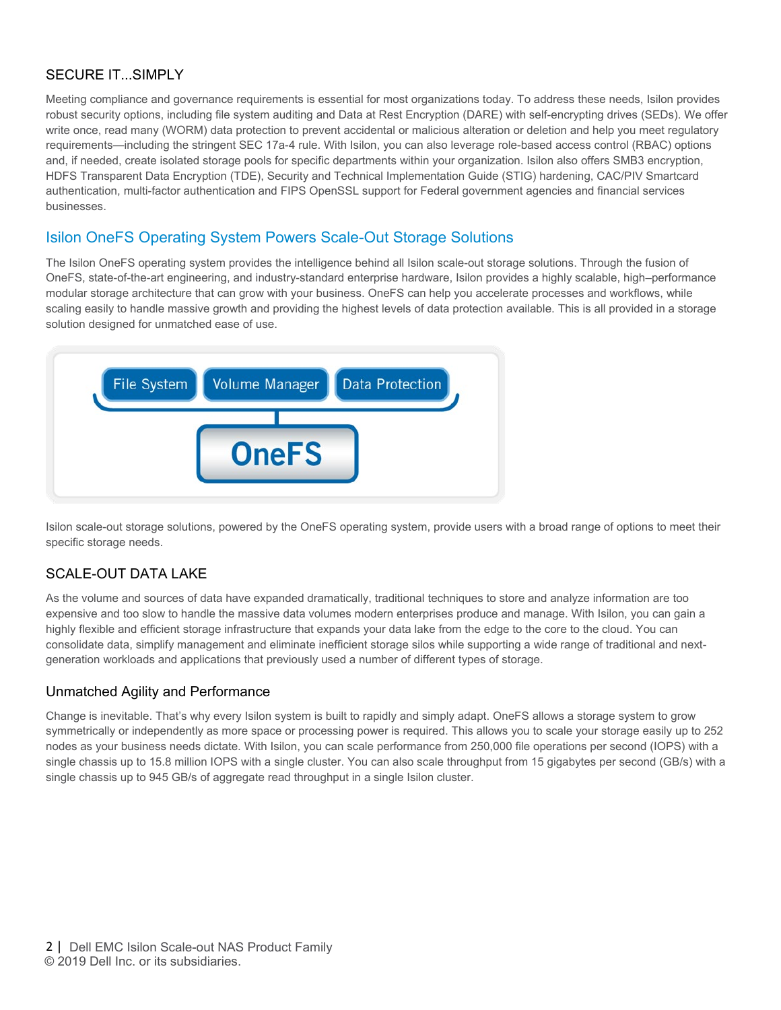#### SECURE IT...SIMPLY

Meeting compliance and governance requirements is essential for most organizations today. To address these needs, Isilon provides robust security options, including file system auditing and Data at Rest Encryption (DARE) with self-encrypting drives (SEDs). We offer write once, read many (WORM) data protection to prevent accidental or malicious alteration or deletion and help you meet regulatory requirements—including the stringent SEC 17a-4 rule. With Isilon, you can also leverage role-based access control (RBAC) options and, if needed, create isolated storage pools for specific departments within your organization. Isilon also offers SMB3 encryption, HDFS Transparent Data Encryption (TDE), Security and Technical Implementation Guide (STIG) hardening, CAC/PIV Smartcard authentication, multi-factor authentication and FIPS OpenSSL support for Federal government agencies and financial services businesses.

#### Isilon OneFS Operating System Powers Scale-Out Storage Solutions

The Isilon OneFS operating system provides the intelligence behind all Isilon scale-out storage solutions. Through the fusion of OneFS, state-of-the-art engineering, and industry-standard enterprise hardware, Isilon provides a highly scalable, high–performance modular storage architecture that can grow with your business. OneFS can help you accelerate processes and workflows, while scaling easily to handle massive growth and providing the highest levels of data protection available. This is all provided in a storage solution designed for unmatched ease of use.



Isilon scale-out storage solutions, powered by the OneFS operating system, provide users with a broad range of options to meet their specific storage needs.

#### SCALE-OUT DATA LAKE

As the volume and sources of data have expanded dramatically, traditional techniques to store and analyze information are too expensive and too slow to handle the massive data volumes modern enterprises produce and manage. With Isilon, you can gain a highly flexible and efficient storage infrastructure that expands your data lake from the edge to the core to the cloud. You can consolidate data, simplify management and eliminate inefficient storage silos while supporting a wide range of traditional and nextgeneration workloads and applications that previously used a number of different types of storage.

#### Unmatched Agility and Performance

Change is inevitable. That's why every Isilon system is built to rapidly and simply adapt. OneFS allows a storage system to grow symmetrically or independently as more space or processing power is required. This allows you to scale your storage easily up to 252 nodes as your business needs dictate. With Isilon, you can scale performance from 250,000 file operations per second (IOPS) with a single chassis up to 15.8 million IOPS with a single cluster. You can also scale throughput from 15 gigabytes per second (GB/s) with a single chassis up to 945 GB/s of aggregate read throughput in a single Isilon cluster.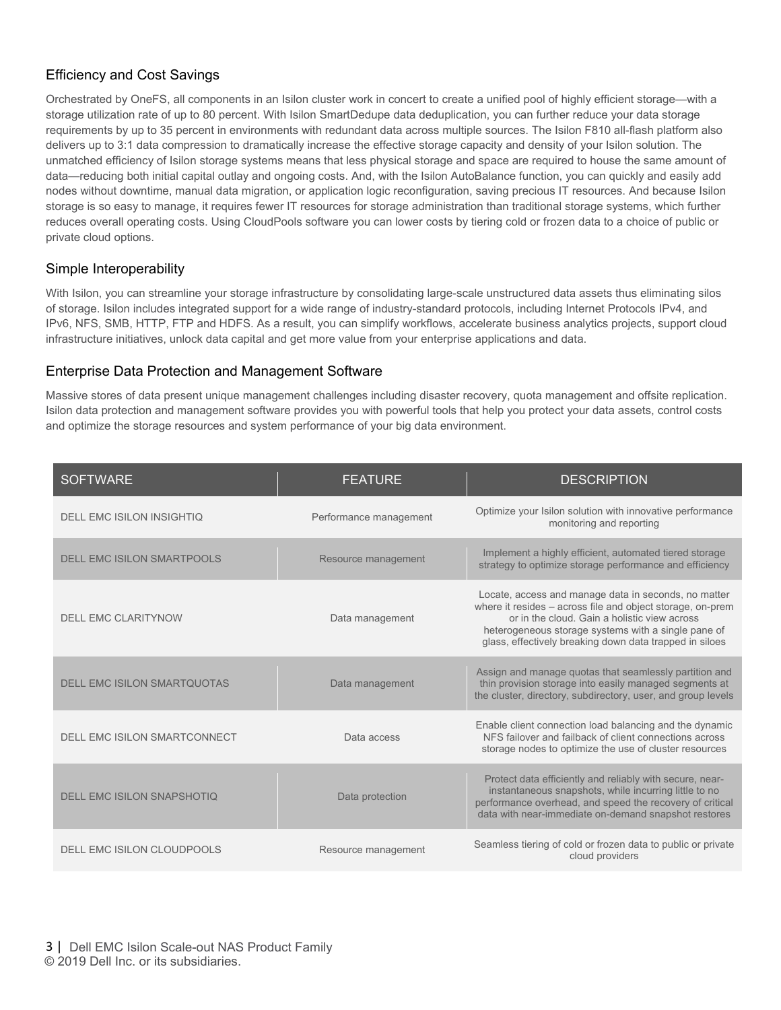#### Efficiency and Cost Savings

Orchestrated by OneFS, all components in an Isilon cluster work in concert to create a unified pool of highly efficient storage—with a storage utilization rate of up to 80 percent. With Isilon SmartDedupe data deduplication, you can further reduce your data storage requirements by up to 35 percent in environments with redundant data across multiple sources. The Isilon F810 all-flash platform also delivers up to 3:1 data compression to dramatically increase the effective storage capacity and density of your Isilon solution. The unmatched efficiency of Isilon storage systems means that less physical storage and space are required to house the same amount of data—reducing both initial capital outlay and ongoing costs. And, with the Isilon AutoBalance function, you can quickly and easily add nodes without downtime, manual data migration, or application logic reconfiguration, saving precious IT resources. And because Isilon storage is so easy to manage, it requires fewer IT resources for storage administration than traditional storage systems, which further reduces overall operating costs. Using CloudPools software you can lower costs by tiering cold or frozen data to a choice of public or private cloud options.

#### Simple Interoperability

With Isilon, you can streamline your storage infrastructure by consolidating large-scale unstructured data assets thus eliminating silos of storage. Isilon includes integrated support for a wide range of industry-standard protocols, including Internet Protocols IPv4, and IPv6, NFS, SMB, HTTP, FTP and HDFS. As a result, you can simplify workflows, accelerate business analytics projects, support cloud infrastructure initiatives, unlock data capital and get more value from your enterprise applications and data.

#### Enterprise Data Protection and Management Software

Massive stores of data present unique management challenges including disaster recovery, quota management and offsite replication. Isilon data protection and management software provides you with powerful tools that help you protect your data assets, control costs and optimize the storage resources and system performance of your big data environment.

| <b>SOFTWARE</b>                     | <b>FEATURE</b>         | <b>DESCRIPTION</b>                                                                                                                                                                                                                                                                   |
|-------------------------------------|------------------------|--------------------------------------------------------------------------------------------------------------------------------------------------------------------------------------------------------------------------------------------------------------------------------------|
| <b>DELL EMC ISILON INSIGHTIQ</b>    | Performance management | Optimize your Isilon solution with innovative performance<br>monitoring and reporting                                                                                                                                                                                                |
| <b>DELL EMC ISILON SMARTPOOLS</b>   | Resource management    | Implement a highly efficient, automated tiered storage<br>strategy to optimize storage performance and efficiency                                                                                                                                                                    |
| <b>DELL EMC CLARITYNOW</b>          | Data management        | Locate, access and manage data in seconds, no matter<br>where it resides - across file and object storage, on-prem<br>or in the cloud. Gain a holistic view across<br>heterogeneous storage systems with a single pane of<br>glass, effectively breaking down data trapped in siloes |
| <b>DELL EMC ISILON SMARTQUOTAS</b>  | Data management        | Assign and manage guotas that seamlessly partition and<br>thin provision storage into easily managed segments at<br>the cluster, directory, subdirectory, user, and group levels                                                                                                     |
| <b>DELL EMC ISILON SMARTCONNECT</b> | Data access            | Enable client connection load balancing and the dynamic<br>NFS failover and failback of client connections across<br>storage nodes to optimize the use of cluster resources                                                                                                          |
| <b>DELL EMC ISILON SNAPSHOTIO</b>   | Data protection        | Protect data efficiently and reliably with secure, near-<br>instantaneous snapshots, while incurring little to no<br>performance overhead, and speed the recovery of critical<br>data with near-immediate on-demand snapshot restores                                                |
| DELL EMC ISILON CLOUDPOOLS          | Resource management    | Seamless tiering of cold or frozen data to public or private<br>cloud providers                                                                                                                                                                                                      |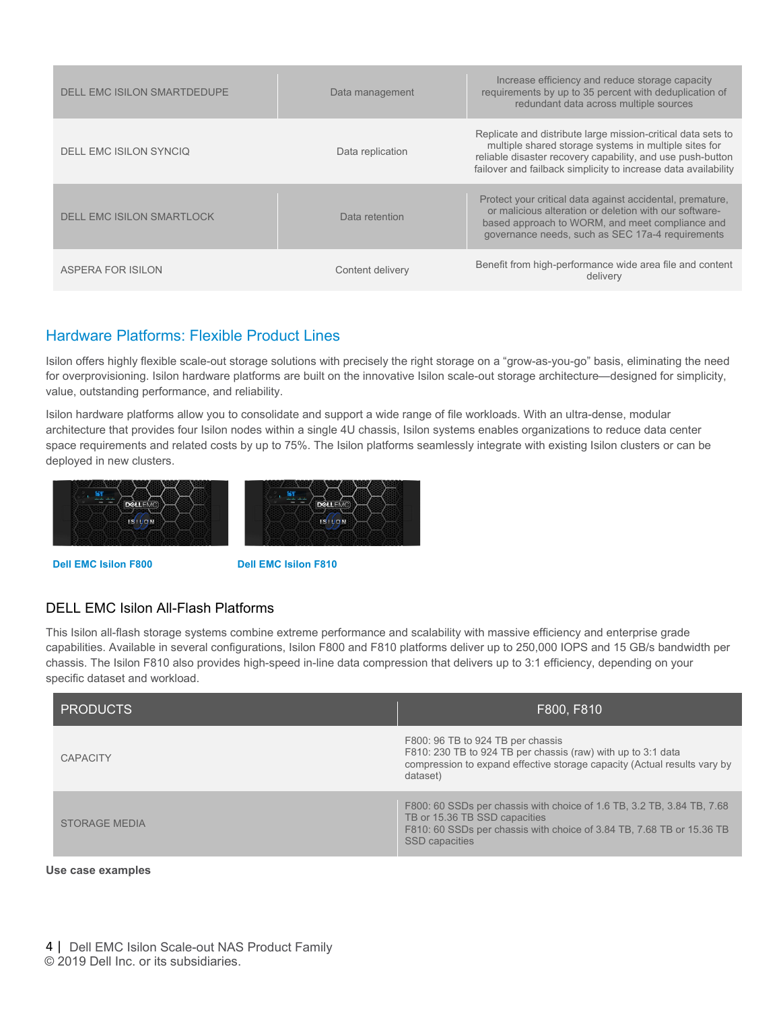| DELL EMC ISILON SMARTDEDUPE | Data management  | Increase efficiency and reduce storage capacity<br>requirements by up to 35 percent with deduplication of<br>redundant data across multiple sources                                                                                                   |
|-----------------------------|------------------|-------------------------------------------------------------------------------------------------------------------------------------------------------------------------------------------------------------------------------------------------------|
| DELL EMC ISILON SYNCIO      | Data replication | Replicate and distribute large mission-critical data sets to<br>multiple shared storage systems in multiple sites for<br>reliable disaster recovery capability, and use push-button<br>failover and failback simplicity to increase data availability |
| DELL EMC ISILON SMARTLOCK   | Data retention   | Protect your critical data against accidental, premature,<br>or malicious alteration or deletion with our software-<br>based approach to WORM, and meet compliance and<br>governance needs, such as SEC 17a-4 requirements                            |
| ASPERA FOR ISILON           | Content delivery | Benefit from high-performance wide area file and content<br>delivery                                                                                                                                                                                  |

#### Hardware Platforms: Flexible Product Lines

Isilon offers highly flexible scale-out storage solutions with precisely the right storage on a "grow-as-you-go" basis, eliminating the need for overprovisioning. Isilon hardware platforms are built on the innovative Isilon scale-out storage architecture—designed for simplicity, value, outstanding performance, and reliability.

Isilon hardware platforms allow you to consolidate and support a wide range of file workloads. With an ultra-dense, modular architecture that provides four Isilon nodes within a single 4U chassis, Isilon systems enables organizations to reduce data center space requirements and related costs by up to 75%. The Isilon platforms seamlessly integrate with existing Isilon clusters or can be deployed in new clusters.



**Dell EMC Isilon F800 Dell EMC Isilon F810** 

#### DELL EMC Isilon All-Flash Platforms

This Isilon all-flash storage systems combine extreme performance and scalability with massive efficiency and enterprise grade capabilities. Available in several configurations, Isilon F800 and F810 platforms deliver up to 250,000 IOPS and 15 GB/s bandwidth per chassis. The Isilon F810 also provides high-speed in-line data compression that delivers up to 3:1 efficiency, depending on your specific dataset and workload.

| <b>PRODUCTS</b>      | F800, F810                                                                                                                                                                                                |
|----------------------|-----------------------------------------------------------------------------------------------------------------------------------------------------------------------------------------------------------|
| <b>CAPACITY</b>      | F800: 96 TB to 924 TB per chassis<br>F810: 230 TB to 924 TB per chassis (raw) with up to 3:1 data<br>compression to expand effective storage capacity (Actual results vary by<br>dataset)                 |
| <b>STORAGE MEDIA</b> | F800: 60 SSDs per chassis with choice of 1.6 TB, 3.2 TB, 3.84 TB, 7.68<br>TB or 15.36 TB SSD capacities<br>F810: 60 SSDs per chassis with choice of 3.84 TB, 7.68 TB or 15.36 TB<br><b>SSD</b> capacities |

#### **Use case examples**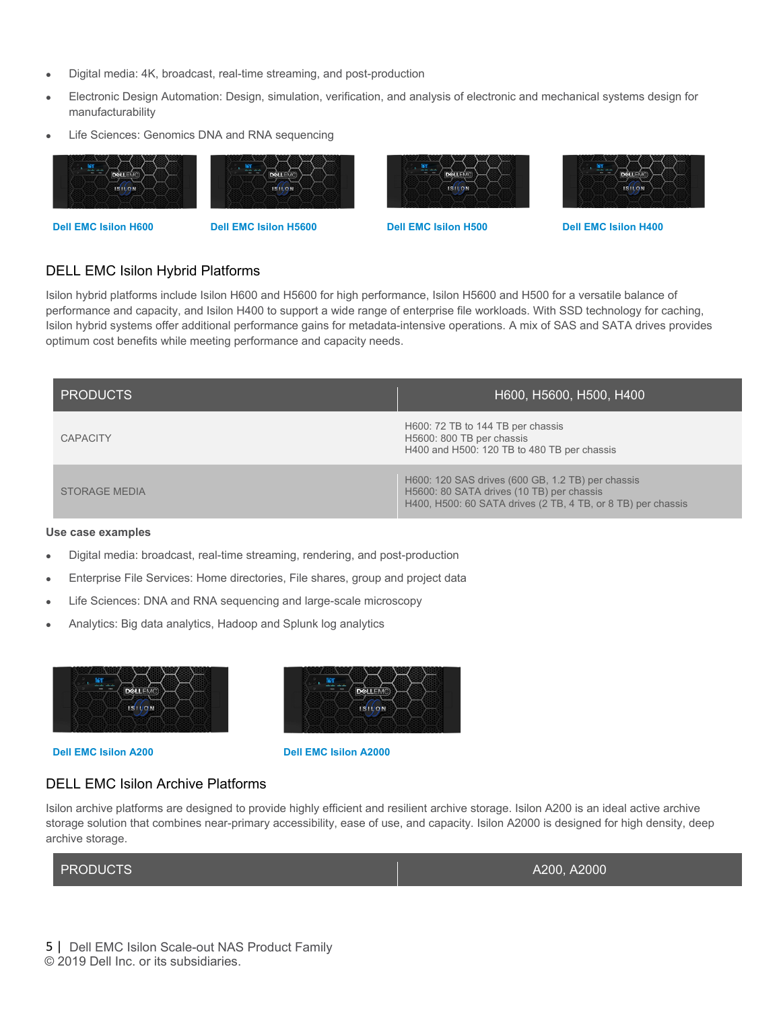- Digital media: 4K, broadcast, real-time streaming, and post-production
- Electronic Design Automation: Design, simulation, verification, and analysis of electronic and mechanical systems design for manufacturability
- Life Sciences: Genomics DNA and RNA sequencing











#### DELL EMC Isilon Hybrid Platforms

Isilon hybrid platforms include Isilon H600 and H5600 for high performance, Isilon H5600 and H500 for a versatile balance of performance and capacity, and Isilon H400 to support a wide range of enterprise file workloads. With SSD technology for caching, Isilon hybrid systems offer additional performance gains for metadata-intensive operations. A mix of SAS and SATA drives provides optimum cost benefits while meeting performance and capacity needs.

| <b>PRODUCTS</b>      | H600, H5600, H500, H400                                                                                                                                        |
|----------------------|----------------------------------------------------------------------------------------------------------------------------------------------------------------|
| <b>CAPACITY</b>      | H600: 72 TB to 144 TB per chassis<br>H5600: 800 TB per chassis<br>H400 and H500: 120 TB to 480 TB per chassis                                                  |
| <b>STORAGE MEDIA</b> | H600: 120 SAS drives (600 GB, 1.2 TB) per chassis<br>H5600: 80 SATA drives (10 TB) per chassis<br>H400, H500: 60 SATA drives (2 TB, 4 TB, or 8 TB) per chassis |

#### **Use case examples**

- Digital media: broadcast, real-time streaming, rendering, and post-production
- Enterprise File Services: Home directories, File shares, group and project data
- Life Sciences: DNA and RNA sequencing and large-scale microscopy
- Analytics: Big data analytics, Hadoop and Splunk log analytics





**Dell EMC Isilon A200 Dell EMC Isilon A2000**

#### DELL EMC Isilon Archive Platforms

Isilon archive platforms are designed to provide highly efficient and resilient archive storage. Isilon A200 is an ideal active archive storage solution that combines near-primary accessibility, ease of use, and capacity. Isilon A2000 is designed for high density, deep archive storage.

| <b>PRODUCTS</b> | A200, A2000 |
|-----------------|-------------|
|                 |             |